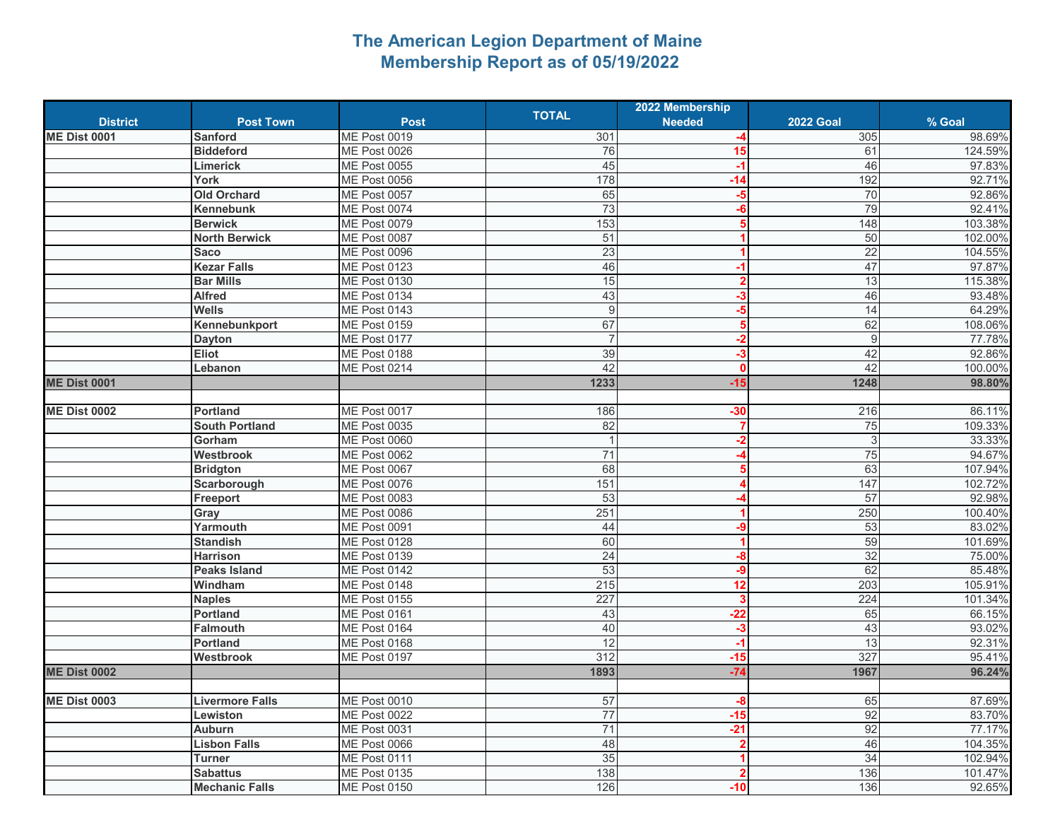## **The American Legion Department of Maine Membership Report as of 05/19/2022**

|                     |                        |                     |                | 2022 Membership         |                  |         |
|---------------------|------------------------|---------------------|----------------|-------------------------|------------------|---------|
| <b>District</b>     | <b>Post Town</b>       | <b>Post</b>         | <b>TOTAL</b>   | <b>Needed</b>           | <b>2022 Goal</b> | % Goal  |
| <b>ME Dist 0001</b> | <b>Sanford</b>         | <b>ME Post 0019</b> | 301            |                         | 305              | 98.69%  |
|                     | <b>Biddeford</b>       | <b>ME Post 0026</b> | 76             | 15                      | 61               | 124.59% |
|                     | Limerick               | ME Post 0055        | 45             | $-1$                    | 46               | 97.83%  |
|                     | York                   | <b>ME Post 0056</b> | 178            | $-14$                   | 192              | 92.71%  |
|                     | <b>Old Orchard</b>     | ME Post 0057        | 65             | $-5$                    | 70               | 92.86%  |
|                     | <b>Kennebunk</b>       | ME Post 0074        | 73             | $-6$                    | 79               | 92.41%  |
|                     | <b>Berwick</b>         | ME Post 0079        | 153            | 5                       | 148              | 103.38% |
|                     | <b>North Berwick</b>   | ME Post 0087        | 51             |                         | 50               | 102.00% |
|                     | <b>Saco</b>            | ME Post 0096        | 23             |                         | 22               | 104.55% |
|                     | <b>Kezar Falls</b>     | ME Post 0123        | 46             | -1                      | 47               | 97.87%  |
|                     | <b>Bar Mills</b>       | <b>ME Post 0130</b> | 15             | 2                       | 13               | 115.38% |
|                     | <b>Alfred</b>          | ME Post 0134        | 43             | $-3$                    | 46               | 93.48%  |
|                     | <b>Wells</b>           | <b>ME Post 0143</b> | 9              | $-5$                    | 14               | 64.29%  |
|                     | Kennebunkport          | ME Post 0159        | 67             | 5                       | 62               | 108.06% |
|                     | <b>Dayton</b>          | ME Post 0177        | $\overline{7}$ | $-2$                    | $9\,$            | 77.78%  |
|                     | Eliot                  | ME Post 0188        | 39             | $-3$                    | 42               | 92.86%  |
|                     | Lebanon                | <b>ME Post 0214</b> | 42             | $\Omega$                | 42               | 100.00% |
| <b>ME Dist 0001</b> |                        |                     | 1233           | $-15$                   | 1248             | 98.80%  |
|                     |                        |                     |                |                         |                  |         |
| <b>ME Dist 0002</b> | <b>Portland</b>        | ME Post 0017        | 186            | $-30$                   | 216              | 86.11%  |
|                     | <b>South Portland</b>  | <b>ME Post 0035</b> | 82             | $\overline{7}$          | 75               | 109.33% |
|                     | Gorham                 | ME Post 0060        | $\overline{1}$ | $-2$                    | $\overline{3}$   | 33.33%  |
|                     | Westbrook              | ME Post 0062        | 71             |                         | 75               | 94.67%  |
|                     | <b>Bridgton</b>        | ME Post 0067        | 68             |                         | 63               | 107.94% |
|                     | Scarborough            | ME Post 0076        | 151            |                         | 147              | 102.72% |
|                     | Freeport               | <b>ME Post 0083</b> | 53             |                         | 57               | 92.98%  |
|                     | Gray                   | ME Post 0086        | 251            |                         | 250              | 100.40% |
|                     | Yarmouth               | ME Post 0091        | 44             | $-9$                    | 53               | 83.02%  |
|                     | <b>Standish</b>        | ME Post 0128        | 60             | $\blacktriangleleft$    | 59               | 101.69% |
|                     | <b>Harrison</b>        | <b>ME Post 0139</b> | 24             | $-8$                    | 32               | 75.00%  |
|                     | <b>Peaks Island</b>    | ME Post 0142        | 53             | $-9$                    | 62               | 85.48%  |
|                     | Windham                | ME Post 0148        | 215            | 12                      | 203              | 105.91% |
|                     | <b>Naples</b>          | <b>ME Post 0155</b> | 227            | $\overline{\mathbf{3}}$ | 224              | 101.34% |
|                     | <b>Portland</b>        | ME Post 0161        | 43             | $-22$                   | 65               | 66.15%  |
|                     | <b>Falmouth</b>        | ME Post 0164        | 40             | $-3$                    | 43               | 93.02%  |
|                     | <b>Portland</b>        | ME Post 0168        | 12             | $-1$                    | 13               | 92.31%  |
|                     | Westbrook              | <b>ME Post 0197</b> | 312            | $-15$                   | 327              | 95.41%  |
| <b>ME Dist 0002</b> |                        |                     | 1893           | $-74$                   | 1967             | 96.24%  |
|                     |                        |                     |                |                         |                  |         |
| <b>ME Dist 0003</b> | <b>Livermore Falls</b> | ME Post 0010        | 57             | $-8$                    | 65               | 87.69%  |
|                     | Lewiston               | <b>ME Post 0022</b> | 77             | $-15$                   | 92               | 83.70%  |
|                     | <b>Auburn</b>          | ME Post 0031        | 71             | $-21$                   | 92               | 77.17%  |
|                     | <b>Lisbon Falls</b>    | ME Post 0066        | 48             |                         | 46               | 104.35% |
|                     | <b>Turner</b>          | ME Post 0111        | 35             |                         | 34               | 102.94% |
|                     | <b>Sabattus</b>        | <b>ME Post 0135</b> | 138            |                         | 136              | 101.47% |
|                     | <b>Mechanic Falls</b>  | <b>ME Post 0150</b> | 126            | $-10$                   | 136              | 92.65%  |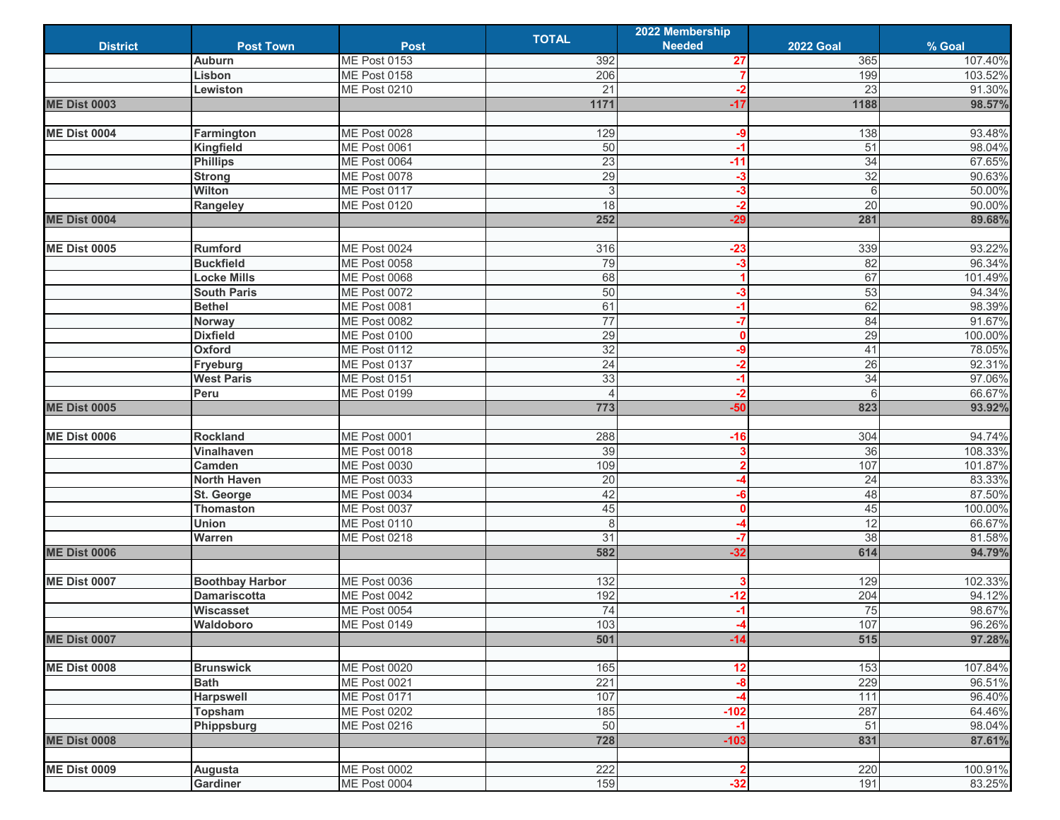|                     |                        |                     |                 | 2022 Membership         |                  |         |
|---------------------|------------------------|---------------------|-----------------|-------------------------|------------------|---------|
| <b>District</b>     | <b>Post Town</b>       | <b>Post</b>         | <b>TOTAL</b>    | <b>Needed</b>           | <b>2022 Goal</b> | % Goal  |
|                     | <b>Auburn</b>          | <b>ME Post 0153</b> | 392             | 27                      | 365              | 107.40% |
|                     | Lisbon                 | ME Post 0158        | 206             | 7                       | 199              | 103.52% |
|                     | Lewiston               | <b>ME Post 0210</b> | 21              | $-2$                    | 23               | 91.30%  |
| <b>ME Dist 0003</b> |                        |                     | 1171            | $-17$                   | 1188             | 98.57%  |
|                     |                        |                     |                 |                         |                  |         |
| <b>ME Dist 0004</b> | Farmington             | <b>ME Post 0028</b> | 129             | -9                      | 138              | 93.48%  |
|                     | Kingfield              | ME Post 0061        | 50              | $-1$                    | 51               | 98.04%  |
|                     | <b>Phillips</b>        | ME Post 0064        | 23              | $-11$                   | 34               | 67.65%  |
|                     | <b>Strong</b>          | <b>ME Post 0078</b> | 29              | $-3$                    | 32               | 90.63%  |
|                     | Wilton                 | ME Post 0117        | 3               | $-3$                    | $6\phantom{1}$   | 50.00%  |
|                     | Rangeley               | ME Post 0120        | $\frac{1}{8}$   | $-2$                    | $\overline{20}$  | 90.00%  |
| <b>ME Dist 0004</b> |                        |                     | 252             | $-29$                   | 281              | 89.68%  |
|                     |                        |                     |                 |                         |                  |         |
|                     | <b>Rumford</b>         |                     |                 |                         |                  |         |
| <b>ME Dist 0005</b> |                        | <b>ME Post 0024</b> | 316             | $-23$                   | 339<br>82        | 93.22%  |
|                     | <b>Buckfield</b>       | <b>ME Post 0058</b> | 79              | $-3$                    |                  | 96.34%  |
|                     | <b>Locke Mills</b>     | ME Post 0068        | 68              |                         | 67               | 101.49% |
|                     | <b>South Paris</b>     | <b>ME Post 0072</b> | 50              | $-3$                    | 53               | 94.34%  |
|                     | <b>Bethel</b>          | ME Post 0081        | 61              | $-1$                    | 62               | 98.39%  |
|                     | <b>Norway</b>          | <b>ME Post 0082</b> | $\overline{77}$ | $-7$                    | 84               | 91.67%  |
|                     | <b>Dixfield</b>        | ME Post 0100        | 29              | $\mathbf{0}$            | 29               | 100.00% |
|                     | Oxford                 | ME Post 0112        | 32              | -9                      | 41               | 78.05%  |
|                     | Fryeburg               | ME Post 0137        | 24              | $-2$                    | 26               | 92.31%  |
|                     | <b>West Paris</b>      | <b>ME Post 0151</b> | 33              | $-1$                    | 34               | 97.06%  |
|                     | Peru                   | <b>ME Post 0199</b> |                 | $-2$                    | 6                | 66.67%  |
| <b>ME Dist 0005</b> |                        |                     | 773             | $-50$                   | 823              | 93.92%  |
|                     |                        |                     |                 |                         |                  |         |
| <b>ME Dist 0006</b> | <b>Rockland</b>        | ME Post 0001        | 288             | $-16$                   | 304              | 94.74%  |
|                     | Vinalhaven             | <b>ME Post 0018</b> | 39              | 3                       | 36               | 108.33% |
|                     | Camden                 | <b>ME Post 0030</b> | 109             | $\overline{2}$          | 107              | 101.87% |
|                     | <b>North Haven</b>     | <b>ME Post 0033</b> | 20              |                         | $\overline{24}$  | 83.33%  |
|                     | St. George             | ME Post 0034        | 42              | -6                      | 48               | 87.50%  |
|                     | <b>Thomaston</b>       | ME Post 0037        | 45              | $\mathbf{0}$            | 45               | 100.00% |
|                     | Union                  | <b>ME Post 0110</b> | 8               | -4                      | 12               | 66.67%  |
|                     | Warren                 | <b>ME Post 0218</b> | 31              | $-7$                    | 38               | 81.58%  |
| <b>ME Dist 0006</b> |                        |                     | 582             | $-32$                   | 614              | 94.79%  |
|                     |                        |                     |                 |                         |                  |         |
| <b>ME Dist 0007</b> | <b>Boothbay Harbor</b> | ME Post 0036        | 132             | 3                       | 129              | 102.33% |
|                     | <b>Damariscotta</b>    | <b>ME Post 0042</b> | 192             | $-12$                   | 204              | 94.12%  |
|                     | Wiscasset              | <b>ME Post 0054</b> | 74              | $-1$                    | 75               | 98.67%  |
|                     | Waldoboro              | ME Post 0149        | 103             |                         | 107              | 96.26%  |
| <b>ME Dist 0007</b> |                        |                     | 501             | $-14$                   | 515              | 97.28%  |
|                     |                        |                     |                 |                         |                  |         |
| <b>ME Dist 0008</b> | <b>Brunswick</b>       | <b>ME Post 0020</b> | 165             | 12                      | 153              | 107.84% |
|                     | <b>Bath</b>            | <b>ME Post 0021</b> | 221             | $-8$                    | 229              | 96.51%  |
|                     | <b>Harpswell</b>       | ME Post 0171        | 107             | -4                      | $\overline{111}$ | 96.40%  |
|                     | <b>Topsham</b>         | <b>ME Post 0202</b> | 185             | $-102$                  | 287              | 64.46%  |
|                     |                        | <b>ME Post 0216</b> | 50              | $-1$                    | 51               | 98.04%  |
| <b>ME Dist 0008</b> | Phippsburg             |                     | 728             | $-103$                  | 831              |         |
|                     |                        |                     |                 |                         |                  | 87.61%  |
|                     |                        |                     |                 |                         |                  |         |
| <b>ME Dist 0009</b> | Augusta                | <b>ME Post 0002</b> | 222             | $\overline{\mathbf{2}}$ | 220              | 100.91% |
|                     | Gardiner               | ME Post 0004        | 159             | $-32$                   | 191              | 83.25%  |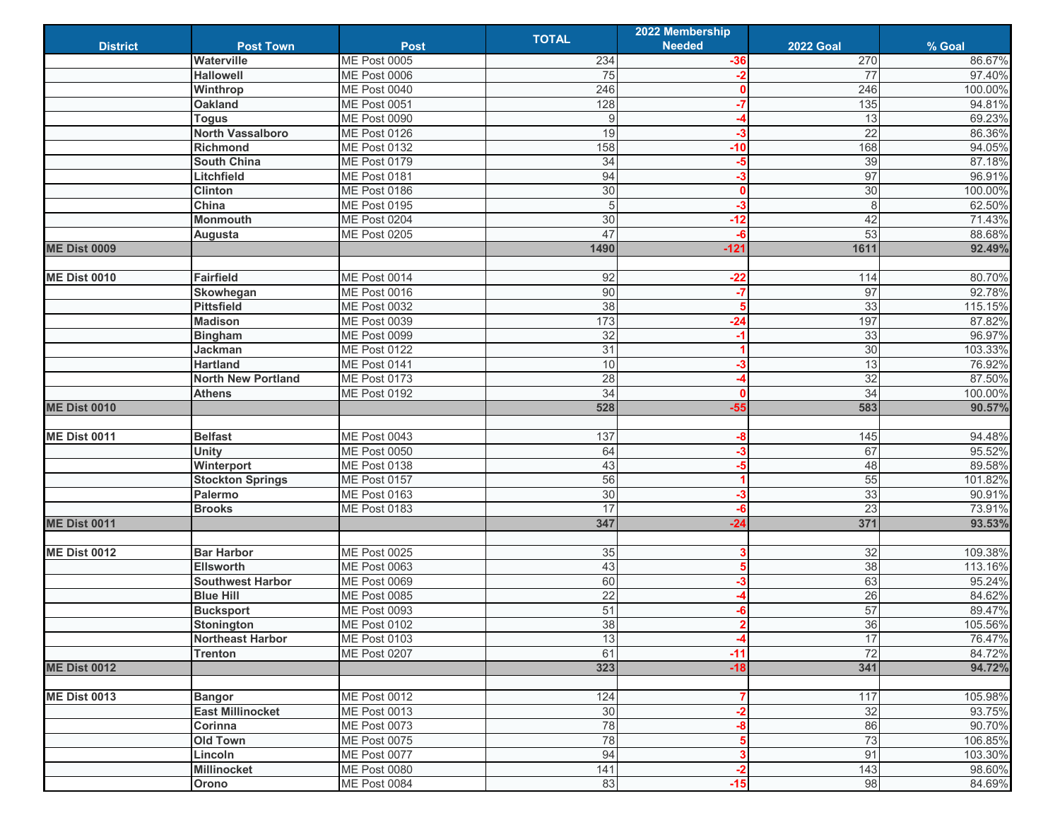|                     |                           |                     | <b>TOTAL</b> | 2022 Membership   |                  |         |
|---------------------|---------------------------|---------------------|--------------|-------------------|------------------|---------|
| <b>District</b>     | <b>Post Town</b>          | <b>Post</b>         |              | <b>Needed</b>     | <b>2022 Goal</b> | % Goal  |
|                     | Waterville                | <b>ME Post 0005</b> | 234          | $-36$             | 270              | 86.67%  |
|                     | <b>Hallowell</b>          | ME Post 0006        | 75           | $-2$              | 77               | 97.40%  |
|                     | Winthrop                  | ME Post 0040        | 246          | $\bf{0}$          | 246              | 100.00% |
|                     | <b>Oakland</b>            | ME Post 0051        | 128          | $-7$              | 135              | 94.81%  |
|                     | <b>Togus</b>              | <b>ME Post 0090</b> | 9            |                   | 13               | 69.23%  |
|                     | <b>North Vassalboro</b>   | ME Post 0126        | 19           | $-3$              | $\overline{22}$  | 86.36%  |
|                     | <b>Richmond</b>           | ME Post 0132        | 158          | $-10$             | 168              | 94.05%  |
|                     | South China               | ME Post 0179        | 34           | -5                | 39               | 87.18%  |
|                     | Litchfield                | ME Post 0181        | 94           | -3                | 97               | 96.91%  |
|                     | <b>Clinton</b>            | ME Post 0186        | 30           | $\mathbf{0}$      | 30               | 100.00% |
|                     | China                     | ME Post 0195        | 5            | $-3$              | $\overline{8}$   | 62.50%  |
|                     | Monmouth                  | ME Post 0204        | 30           | $-12$             | 42               | 71.43%  |
|                     | Augusta                   | <b>ME Post 0205</b> | 47           | $-6$              | 53               | 88.68%  |
| <b>ME Dist 0009</b> |                           |                     | 1490         | $-121$            | 1611             | 92.49%  |
|                     |                           |                     |              |                   |                  |         |
| <b>ME Dist 0010</b> | Fairfield                 | <b>ME Post 0014</b> | 92           | $-22$             | 114              | 80.70%  |
|                     | Skowhegan                 | ME Post 0016        | 90           | $-7$              | 97               | 92.78%  |
|                     | <b>Pittsfield</b>         | ME Post 0032        | 38           | 5                 | 33               | 115.15% |
|                     | <b>Madison</b>            | ME Post 0039        | 173          | $-24$             | 197              | 87.82%  |
|                     | <b>Bingham</b>            | <b>ME Post 0099</b> | 32           | $-1$              | 33               | 96.97%  |
|                     | <b>Jackman</b>            | ME Post 0122        | 31           | 1                 | 30               | 103.33% |
|                     | <b>Hartland</b>           | ME Post 0141        | 10           | -3                | 13               | 76.92%  |
|                     | <b>North New Portland</b> | ME Post 0173        | 28           | -4                | 32               | 87.50%  |
|                     | <b>Athens</b>             | ME Post 0192        | 34           | n                 | 34               | 100.00% |
| <b>ME Dist 0010</b> |                           |                     | 528          | $-55$             | 583              | 90.57%  |
|                     |                           |                     |              |                   |                  |         |
| <b>ME Dist 0011</b> | <b>Belfast</b>            | ME Post 0043        | 137          | -8                | 145              | 94.48%  |
|                     | <b>Unity</b>              | ME Post 0050        | 64           | $-3$              | 67               | 95.52%  |
|                     | Winterport                | ME Post 0138        | 43           | -5                | 48               | 89.58%  |
|                     | <b>Stockton Springs</b>   | <b>ME Post 0157</b> | 56           | 1                 | 55               | 101.82% |
|                     | Palermo                   | ME Post 0163        | 30           | -3                | 33               | 90.91%  |
|                     | <b>Brooks</b>             | ME Post 0183        | 17           | -6                | 23               | 73.91%  |
| <b>ME Dist 0011</b> |                           |                     | 347          | $-24$             | 371              | 93.53%  |
|                     |                           |                     |              |                   |                  |         |
| <b>ME Dist 0012</b> | <b>Bar Harbor</b>         | <b>ME Post 0025</b> | 35           |                   | 32               | 109.38% |
|                     | <b>Ellsworth</b>          | ME Post 0063        | 43           | 5                 | 38               | 113.16% |
|                     | <b>Southwest Harbor</b>   | ME Post 0069        | 60           | $-3$              | 63               | 95.24%  |
|                     | <b>Blue Hill</b>          | <b>ME Post 0085</b> | 22           | -4                | 26               | 84.62%  |
|                     | <b>Bucksport</b>          | ME Post 0093        | 51           | -6                | 57               | 89.47%  |
|                     | Stonington                | <b>ME Post 0102</b> | 38           | $\mathbf{\Omega}$ | 36               | 105.56% |
|                     | <b>Northeast Harbor</b>   | <b>ME Post 0103</b> | 13           | $-4$              | 17               | 76.47%  |
|                     | Trenton                   | <b>ME Post 0207</b> | 61           | $-11$             | 72               | 84.72%  |
| <b>ME Dist 0012</b> |                           |                     | 323          | $-18$             | 341              | 94.72%  |
|                     |                           |                     |              |                   |                  |         |
| <b>ME Dist 0013</b> | <b>Bangor</b>             | <b>ME Post 0012</b> | 124          |                   | 117              | 105.98% |
|                     | <b>East Millinocket</b>   | <b>ME Post 0013</b> | 30           | $-2$              | 32               | 93.75%  |
|                     | Corinna                   | <b>ME Post 0073</b> | 78           | -8                | 86               | 90.70%  |
|                     | <b>Old Town</b>           | <b>ME Post 0075</b> | 78           | 5                 | 73               | 106.85% |
|                     | Lincoln                   | ME Post 0077        | 94           | 3                 | 91               | 103.30% |
|                     | Millinocket               | <b>ME Post 0080</b> | 141          | $-2$              | 143              | 98.60%  |
|                     | Orono                     | <b>ME Post 0084</b> | 83           | $-15$             | 98               | 84.69%  |
|                     |                           |                     |              |                   |                  |         |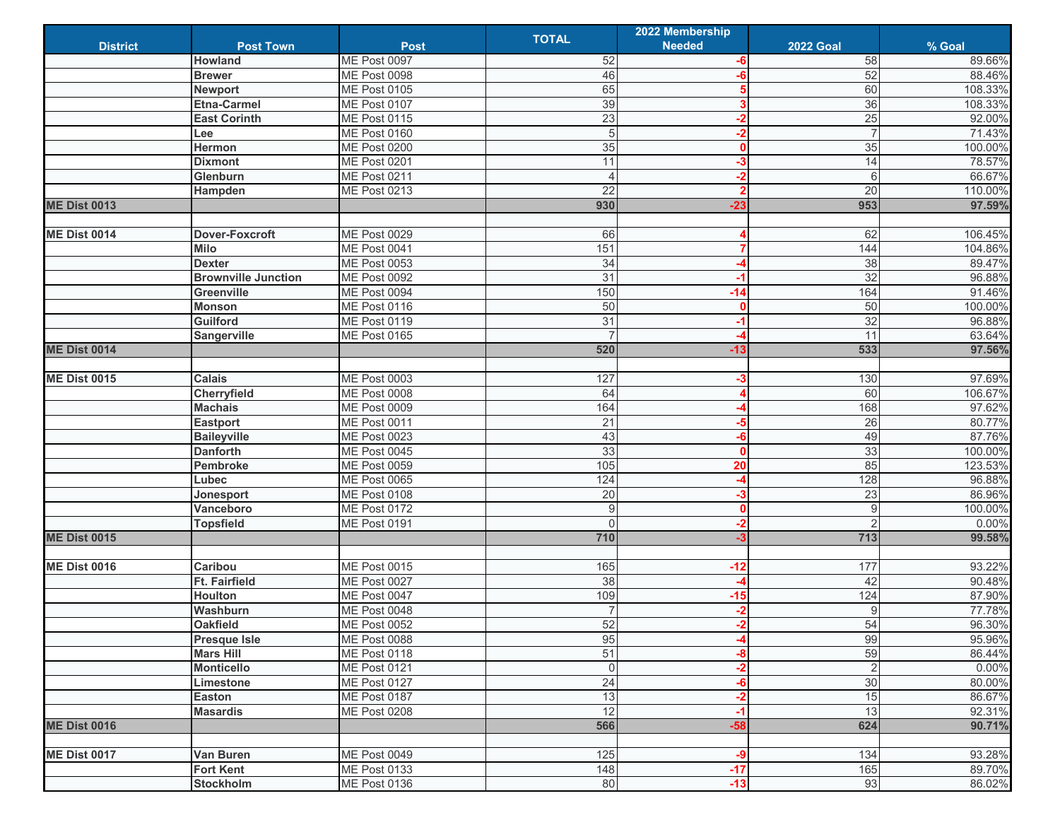|                     |                            |                     |                | 2022 Membership |                  |         |
|---------------------|----------------------------|---------------------|----------------|-----------------|------------------|---------|
| <b>District</b>     | <b>Post Town</b>           | <b>Post</b>         | <b>TOTAL</b>   | <b>Needed</b>   | <b>2022 Goal</b> | % Goal  |
|                     | <b>Howland</b>             | ME Post 0097        | 52             | -6              | 58               | 89.66%  |
|                     | <b>Brewer</b>              | ME Post 0098        | 46             | -6              | 52               | 88.46%  |
|                     | <b>Newport</b>             | ME Post 0105        | 65             |                 | 60               | 108.33% |
|                     | <b>Etna-Carmel</b>         | <b>ME Post 0107</b> | 39             | 3               | 36               | 108.33% |
|                     | <b>East Corinth</b>        | ME Post 0115        | 23             | $-2$            | 25               | 92.00%  |
|                     | Lee                        | <b>ME Post 0160</b> | 5              | $-2$            | $\overline{7}$   | 71.43%  |
|                     | Hermon                     | <b>ME Post 0200</b> | 35             | 0               | 35               | 100.00% |
|                     | <b>Dixmont</b>             | ME Post 0201        | 11             | -3              | 14               | 78.57%  |
|                     | Glenburn                   | ME Post 0211        |                | $-2$            | 6                | 66.67%  |
|                     | Hampden                    | <b>ME Post 0213</b> | 22             | 2               | 20               | 110.00% |
| <b>ME Dist 0013</b> |                            |                     | 930            | $-23$           | 953              | 97.59%  |
|                     |                            |                     |                |                 |                  |         |
| <b>ME Dist 0014</b> | Dover-Foxcroft             | ME Post 0029        | 66             |                 | 62               | 106.45% |
|                     | <b>Milo</b>                | ME Post 0041        | 151            | 7               | 144              | 104.86% |
|                     | <b>Dexter</b>              | <b>ME Post 0053</b> | 34             | A               | 38               | 89.47%  |
|                     | <b>Brownville Junction</b> | <b>ME Post 0092</b> | 31             | $-1$            | 32               | 96.88%  |
|                     | <b>Greenville</b>          | ME Post 0094        | 150            | $-14$           | 164              | 91.46%  |
|                     | <b>Monson</b>              | ME Post 0116        | 50             | $\bf{0}$        | 50               | 100.00% |
|                     | Guilford                   | <b>ME Post 0119</b> | 31             | -1              | 32               | 96.88%  |
|                     | Sangerville                | ME Post 0165        |                |                 | 11               | 63.64%  |
| <b>ME Dist 0014</b> |                            |                     | 520            | $-13$           | 533              | 97.56%  |
|                     |                            |                     |                |                 |                  |         |
| <b>ME Dist 0015</b> | <b>Calais</b>              | ME Post 0003        | 127            | -3              | 130              | 97.69%  |
|                     | Cherryfield                | ME Post 0008        | 64             | Δ               | 60               | 106.67% |
|                     | <b>Machais</b>             | <b>ME Post 0009</b> | 164            |                 | 168              | 97.62%  |
|                     | <b>Eastport</b>            | <b>ME Post 0011</b> | 21             | -5              | 26               | 80.77%  |
|                     | <b>Baileyville</b>         | <b>ME Post 0023</b> | 43             | -6              | 49               | 87.76%  |
|                     | <b>Danforth</b>            | ME Post 0045        | 33             | $\bf{0}$        | 33               | 100.00% |
|                     | Pembroke                   | ME Post 0059        | 105            | 20              | 85               | 123.53% |
|                     | Lubec                      | ME Post 0065        | 124            | -4              | 128              | 96.88%  |
|                     | Jonesport                  | ME Post 0108        | 20             | -3              | 23               | 86.96%  |
|                     | Vanceboro                  | <b>ME Post 0172</b> | 9              | $\mathbf{0}$    | 9                | 100.00% |
|                     | <b>Topsfield</b>           | ME Post 0191        | $\Omega$       | $-2$            | $\overline{2}$   | 0.00%   |
| <b>ME Dist 0015</b> |                            |                     | 710            | $-3$            | 713              | 99.58%  |
|                     |                            |                     |                |                 |                  |         |
| <b>ME Dist 0016</b> | Caribou                    | <b>ME Post 0015</b> | 165            | $-12$           | 177              | 93.22%  |
|                     | <b>Ft. Fairfield</b>       | <b>ME Post 0027</b> | 38             |                 | 42               | 90.48%  |
|                     | Houlton                    | ME Post 0047        | 109            | $-15$           | 124              | 87.90%  |
|                     | Washburn                   | ME Post 0048        | $\overline{7}$ | $-2$            | $\overline{9}$   | 77.78%  |
|                     | <b>Oakfield</b>            | ME Post 0052        | 52             | $\mathbf{c}$    | 54               | 96.30%  |
|                     | <b>Presque Isle</b>        | <b>ME Post 0088</b> | 95             | -4              | 99               | 95.96%  |
|                     | <b>Mars Hill</b>           | <b>ME Post 0118</b> | 51             | -8              | 59               | 86.44%  |
|                     | <b>Monticello</b>          | <b>ME Post 0121</b> | $\mathbf 0$    | $-2$            | $\overline{c}$   | 0.00%   |
|                     | Limestone                  | <b>ME Post 0127</b> | 24             | -6              | 30               | 80.00%  |
|                     | Easton                     | <b>ME Post 0187</b> | 13             | $-2$            | 15               | 86.67%  |
|                     | <b>Masardis</b>            | <b>ME Post 0208</b> | 12             | $-1$            | 13               | 92.31%  |
| <b>ME Dist 0016</b> |                            |                     | 566            | $-58$           | 624              | 90.71%  |
|                     |                            |                     |                |                 |                  |         |
| <b>ME Dist 0017</b> | Van Buren                  | <b>ME Post 0049</b> | 125            | -9              | 134              | 93.28%  |
|                     | <b>Fort Kent</b>           | <b>ME Post 0133</b> | 148            | $-17$           | 165              | 89.70%  |
|                     | Stockholm                  | <b>ME Post 0136</b> | 80             | $-13$           | 93               | 86.02%  |